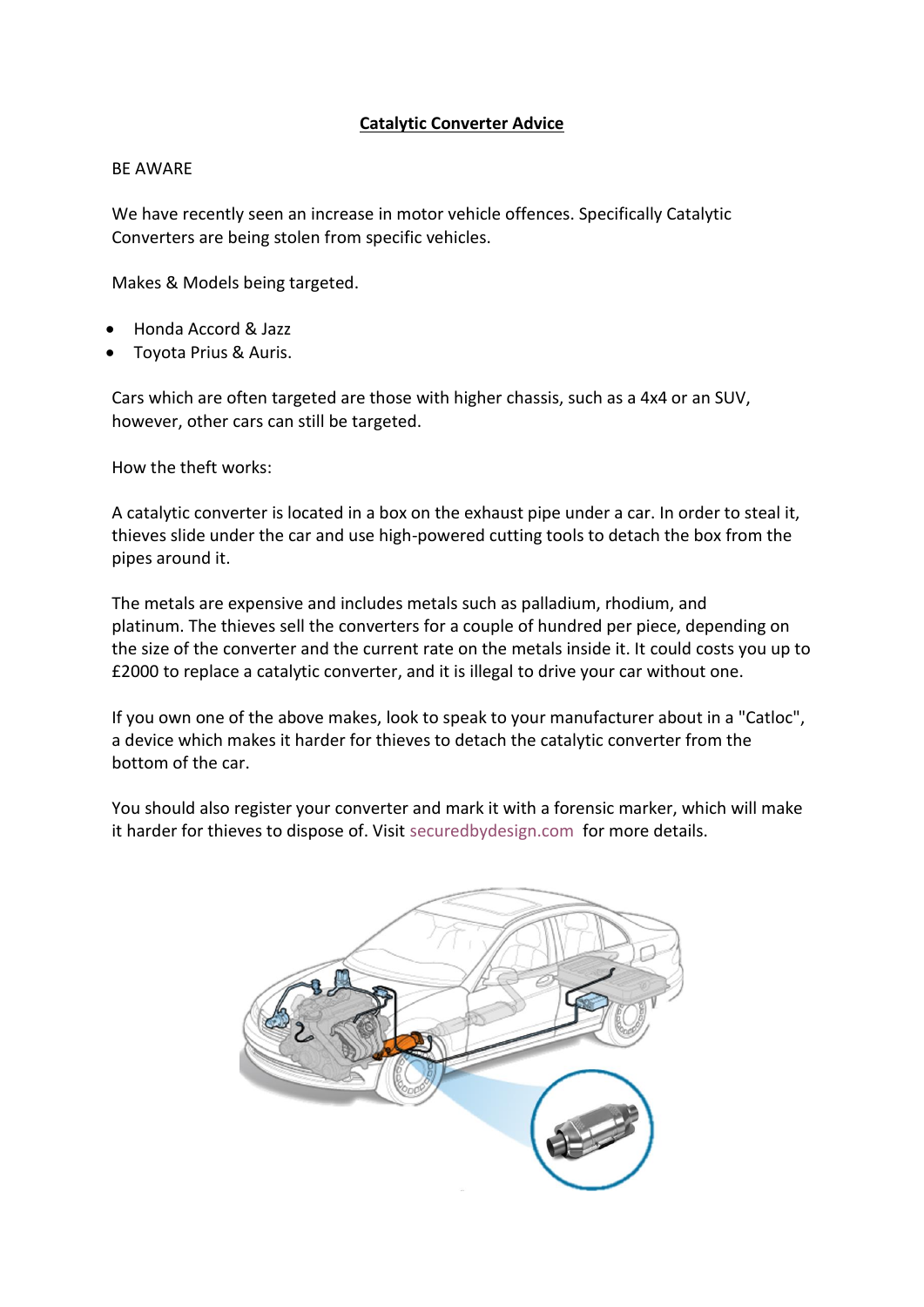## **Catalytic Converter Advice**

## BE AWARE

We have recently seen an increase in motor vehicle offences. Specifically Catalytic Converters are being stolen from specific vehicles.

Makes & Models being targeted.

- Honda Accord & Jazz
- Toyota Prius & Auris.

Cars which are often targeted are those with higher chassis, such as a 4x4 or an SUV, however, other cars can still be targeted.

How the theft works:

A catalytic converter is located in a box on the exhaust pipe under a car. In order to steal it, thieves slide under the car and use high-powered cutting tools to detach the box from the pipes around it.

The metals are expensive and includes metals such as palladium, rhodium, and platinum. The thieves sell the converters for a couple of hundred per piece, depending on the size of the converter and the current rate on the metals inside it. It could costs you up to £2000 to replace a catalytic converter, and it is illegal to drive your car without one.

If you own one of the above makes, look to speak to your manufacturer about in a "Catloc", a device which makes it harder for thieves to detach the catalytic converter from the bottom of the car.

You should also register your converter and mark it with a forensic marker, which will make it harder for thieves to dispose of. Visit [securedbydesign.com](https://www.securedbydesign.com/member-companies/accredited-product-search?view=catinfo&sbdoldcatid=98#advanced-search) for more details.